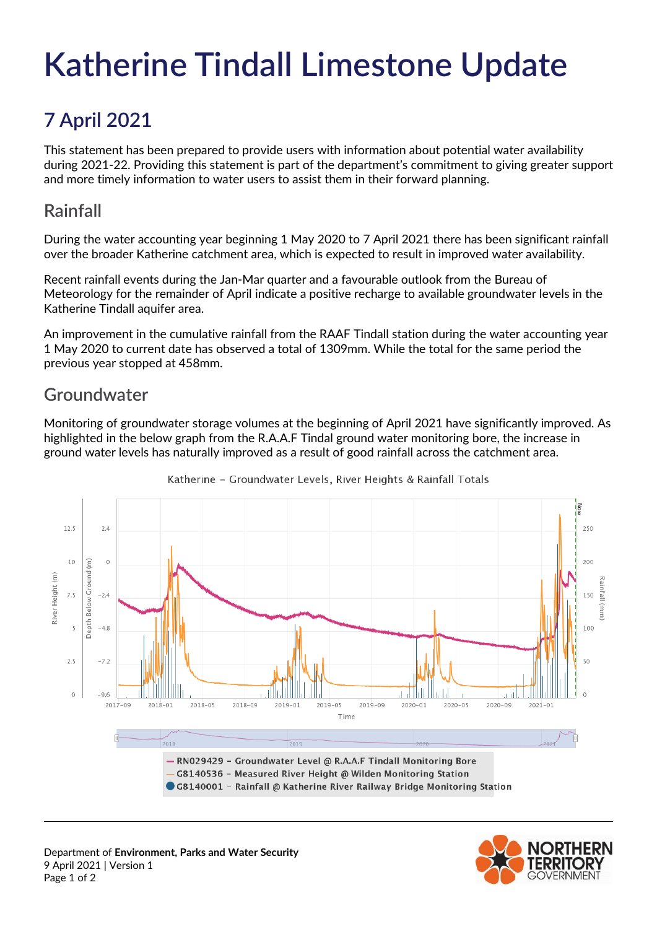# **Katherine Tindall Limestone Update**

# **7 April 2021**

This statement has been prepared to provide users with information about potential water availability during 2021-22. Providing this statement is part of the department's commitment to giving greater support and more timely information to water users to assist them in their forward planning.

# **Rainfall**

During the water accounting year beginning 1 May 2020 to 7 April 2021 there has been significant rainfall over the broader Katherine catchment area, which is expected to result in improved water availability.

Recent rainfall events during the Jan-Mar quarter and a favourable outlook from the Bureau of Meteorology for the remainder of April indicate a positive recharge to available groundwater levels in the Katherine Tindall aquifer area.

An improvement in the cumulative rainfall from the RAAF Tindall station during the water accounting year 1 May 2020 to current date has observed a total of 1309mm. While the total for the same period the previous year stopped at 458mm.

# **Groundwater**

Monitoring of groundwater storage volumes at the beginning of April 2021 have significantly improved. As highlighted in the below graph from the R.A.A.F Tindal ground water monitoring bore, the increase in ground water levels has naturally improved as a result of good rainfall across the catchment area.



Katherine - Groundwater Levels, River Heights & Rainfall Totals